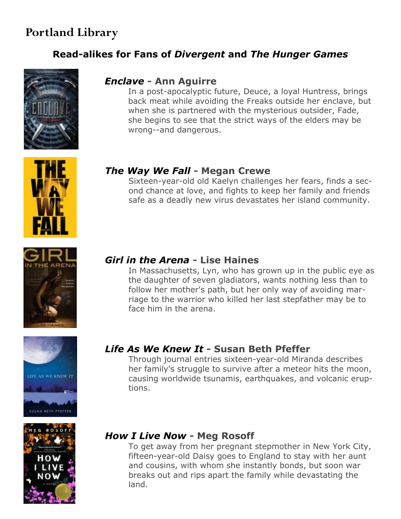# **Portland Library**

## **[Read-alikes for Fans of](http://www.saclibrary.org/teens/Great-Reads-For-Teens/New-Graphic-Novels-for-Teens/)** *Divergent* **and** *The Hunger Games*



#### *[Enclave](http://find.saclibrarycatalog.org/iii/encore/record/C__Rb2053549__Senclave__P0%2C1__Orightresult__X5?lang=eng&suite=cobalt)* **- Ann Aguirre**

In a post-apocalyptic future, Deuce, a loyal Huntress, brings back meat while avoiding the Freaks outside her enclave, but when she is partnered with the mysterious outsider, Fade, she begins to see that the strict ways of the elders may be wrong--and dangerous.



## *[The Way We Fall](http://find.saclibrarycatalog.org/iii/encore/record/C__Rb2084017__Sway%20we%20fall__Orightresult__X5?lang=eng&suite=cobalt)* **- Megan Crewe**

Sixteen-year-old old Kaelyn challenges her fears, finds a second chance at love, and fights to keep her family and friends safe as a deadly new virus devastates her island community.



## *[Girl in the Arena](http://find.saclibrarycatalog.org/iii/encore/record/C__Rb1970682__Sgirl%20in%20the%20arena__P0%2C1__Orightresult__X5?lang=eng&suite=cobalt)* **- Lise Haines**

In Massachusetts, Lyn, who has grown up in the public eye as the daughter of seven gladiators, wants nothing less than to follow her mother's path, but her only way of avoiding marriage to the warrior who killed her last stepfather may be to face him in the arena.





# *[Life As We Knew It](http://find.saclibrarycatalog.org/iii/encore/record/C__Rb1780448__Slife%20as%20we%20knew%20it__P0%2C3__Orightresult__X5?lang=eng&suite=cobalt)* **- Susan Beth Pfeffer**

Through journal entries sixteen-year-old Miranda describes her family's struggle to survive after a meteor hits the moon, causing worldwide tsunamis, earthquakes, and volcanic eruptions.

## *[How I Live Now](http://find.saclibrarycatalog.org/iii/encore/record/C__Rb1709865__Show%20i%20live%20now__P0%2C3__Orightresult__X5?lang=eng&suite=cobalt)* **- Meg Rosoff**

To get away from her pregnant stepmother in New York City, fifteen-year-old Daisy goes to England to stay with her aunt and cousins, with whom she instantly bonds, but soon war breaks out and rips apart the family while devastating the land.